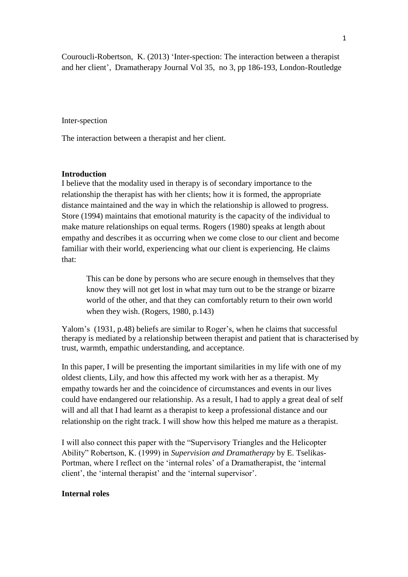Couroucli-Robertson, K. (2013) 'Inter-spection: The interaction between a therapist and her client', Dramatherapy Journal Vol 35, no 3, pp 186-193, London*-*Routledge

### Inter-spection

The interaction between a therapist and her client.

## **Introduction**

I believe that the modality used in therapy is of secondary importance to the relationship the therapist has with her clients; how it is formed, the appropriate distance maintained and the way in which the relationship is allowed to progress. Store (1994) maintains that emotional maturity is the capacity of the individual to make mature relationships on equal terms. Rogers (1980) speaks at length about empathy and describes it as occurring when we come close to our client and become familiar with their world, experiencing what our client is experiencing. He claims that:

This can be done by persons who are secure enough in themselves that they know they will not get lost in what may turn out to be the strange or bizarre world of the other, and that they can comfortably return to their own world when they wish. (Rogers, 1980, p.143)

Yalom's (1931, p.48) beliefs are similar to Roger's, when he claims that successful therapy is mediated by a relationship between therapist and patient that is characterised by trust, warmth, empathic understanding, and acceptance.

In this paper, I will be presenting the important similarities in my life with one of my oldest clients, Lily, and how this affected my work with her as a therapist. My empathy towards her and the coincidence of circumstances and events in our lives could have endangered our relationship. As a result, I had to apply a great deal of self will and all that I had learnt as a therapist to keep a professional distance and our relationship on the right track. I will show how this helped me mature as a therapist.

I will also connect this paper with the "Supervisory Triangles and the Helicopter Ability" Robertson, K. (1999) in *Supervision and Dramatherapy* by E. Tselikas-Portman, where I reflect on the 'internal roles' of a Dramatherapist, the 'internal client', the 'internal therapist' and the 'internal supervisor'.

# **Internal roles**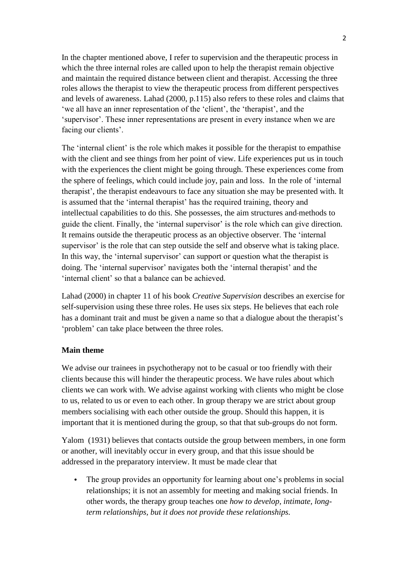In the chapter mentioned above, I refer to supervision and the therapeutic process in which the three internal roles are called upon to help the therapist remain objective and maintain the required distance between client and therapist. Accessing the three roles allows the therapist to view the therapeutic process from different perspectives and levels of awareness. Lahad (2000, p.115) also refers to these roles and claims that 'we all have an inner representation of the 'client', the 'therapist', and the 'supervisor'. These inner representations are present in every instance when we are facing our clients'.

The 'internal client' is the role which makes it possible for the therapist to empathise with the client and see things from her point of view. Life experiences put us in touch with the experiences the client might be going through. These experiences come from the sphere of feelings, which could include joy, pain and loss. In the role of 'internal therapist', the therapist endeavours to face any situation she may be presented with. It is assumed that the 'internal therapist' has the required training, theory and intellectual capabilities to do this. She possesses, the aim structures and methods to guide the client. Finally, the 'internal supervisor' is the role which can give direction. It remains outside the therapeutic process as an objective observer. The 'internal supervisor' is the role that can step outside the self and observe what is taking place. In this way, the 'internal supervisor' can support or question what the therapist is doing. The 'internal supervisor' navigates both the 'internal therapist' and the 'internal client' so that a balance can be achieved.

Lahad (2000) in chapter 11 of his book *Creative Supervision* describes an exercise for self-supervision using these three roles. He uses six steps. He believes that each role has a dominant trait and must be given a name so that a dialogue about the therapist's 'problem' can take place between the three roles.

## **Main theme**

We advise our trainees in psychotherapy not to be casual or too friendly with their clients because this will hinder the therapeutic process. We have rules about which clients we can work with. We advise against working with clients who might be close to us, related to us or even to each other. In group therapy we are strict about group members socialising with each other outside the group. Should this happen, it is important that it is mentioned during the group, so that that sub-groups do not form.

Yalom (1931) believes that contacts outside the group between members, in one form or another, will inevitably occur in every group, and that this issue should be addressed in the preparatory interview. It must be made clear that

The group provides an opportunity for learning about one's problems in social relationships; it is not an assembly for meeting and making social friends. In other words, the therapy group teaches one *how to develop, intimate, longterm relationships, but it does not provide these relationships.*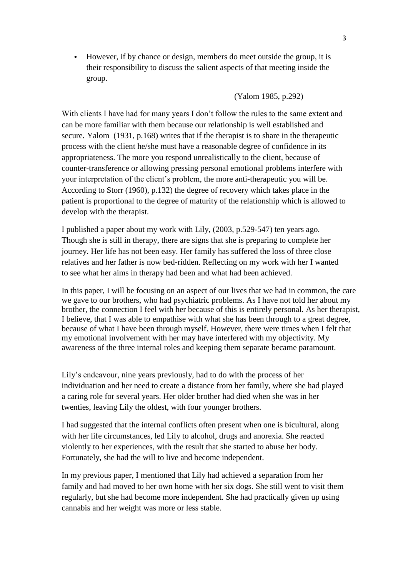• However, if by chance or design, members do meet outside the group, it is their responsibility to discuss the salient aspects of that meeting inside the group.

(Yalom 1985, p.292)

With clients I have had for many years I don't follow the rules to the same extent and can be more familiar with them because our relationship is well established and secure. Yalom (1931, p.168) writes that if the therapist is to share in the therapeutic process with the client he/she must have a reasonable degree of confidence in its appropriateness. The more you respond unrealistically to the client, because of counter-transference or allowing pressing personal emotional problems interfere with your interpretation of the client's problem, the more anti-therapeutic you will be. According to Storr (1960), p.132) the degree of recovery which takes place in the patient is proportional to the degree of maturity of the relationship which is allowed to develop with the therapist.

I published a paper about my work with Lily, (2003, p.529-547) ten years ago. Though she is still in therapy, there are signs that she is preparing to complete her journey. Her life has not been easy. Her family has suffered the loss of three close relatives and her father is now bed-ridden. Reflecting on my work with her I wanted to see what her aims in therapy had been and what had been achieved.

In this paper, I will be focusing on an aspect of our lives that we had in common, the care we gave to our brothers, who had psychiatric problems. As I have not told her about my brother, the connection I feel with her because of this is entirely personal. As her therapist, I believe, that I was able to empathise with what she has been through to a great degree, because of what I have been through myself. However, there were times when I felt that my emotional involvement with her may have interfered with my objectivity. My awareness of the three internal roles and keeping them separate became paramount.

Lily's endeavour, nine years previously, had to do with the process of her individuation and her need to create a distance from her family, where she had played a caring role for several years. Her older brother had died when she was in her twenties, leaving Lily the oldest, with four younger brothers.

I had suggested that the internal conflicts often present when one is bicultural, along with her life circumstances, led Lily to alcohol, drugs and anorexia. She reacted violently to her experiences, with the result that she started to abuse her body. Fortunately, she had the will to live and become independent.

In my previous paper, I mentioned that Lily had achieved a separation from her family and had moved to her own home with her six dogs. She still went to visit them regularly, but she had become more independent. She had practically given up using cannabis and her weight was more or less stable.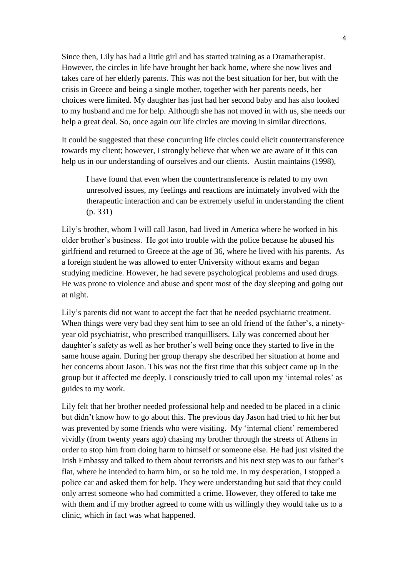Since then, Lily has had a little girl and has started training as a Dramatherapist. However, the circles in life have brought her back home, where she now lives and takes care of her elderly parents. This was not the best situation for her, but with the crisis in Greece and being a single mother, together with her parents needs, her choices were limited. My daughter has just had her second baby and has also looked to my husband and me for help. Although she has not moved in with us, she needs our help a great deal. So, once again our life circles are moving in similar directions.

It could be suggested that these concurring life circles could elicit countertransference towards my client; however, I strongly believe that when we are aware of it this can help us in our understanding of ourselves and our clients. Austin maintains (1998),

I have found that even when the countertransference is related to my own unresolved issues, my feelings and reactions are intimately involved with the therapeutic interaction and can be extremely useful in understanding the client (p. 331)

Lily's brother, whom I will call Jason, had lived in America where he worked in his older brother's business. He got into trouble with the police because he abused his girlfriend and returned to Greece at the age of 36, where he lived with his parents. As a foreign student he was allowed to enter University without exams and began studying medicine. However, he had severe psychological problems and used drugs. He was prone to violence and abuse and spent most of the day sleeping and going out at night.

Lily's parents did not want to accept the fact that he needed psychiatric treatment. When things were very bad they sent him to see an old friend of the father's, a ninetyyear old psychiatrist, who prescribed tranquillisers. Lily was concerned about her daughter's safety as well as her brother's well being once they started to live in the same house again. During her group therapy she described her situation at home and her concerns about Jason. This was not the first time that this subject came up in the group but it affected me deeply. I consciously tried to call upon my 'internal roles' as guides to my work.

Lily felt that her brother needed professional help and needed to be placed in a clinic but didn't know how to go about this. The previous day Jason had tried to hit her but was prevented by some friends who were visiting. My 'internal client' remembered vividly (from twenty years ago) chasing my brother through the streets of Athens in order to stop him from doing harm to himself or someone else. He had just visited the Irish Embassy and talked to them about terrorists and his next step was to our father's flat, where he intended to harm him, or so he told me. In my desperation, I stopped a police car and asked them for help. They were understanding but said that they could only arrest someone who had committed a crime. However, they offered to take me with them and if my brother agreed to come with us willingly they would take us to a clinic, which in fact was what happened.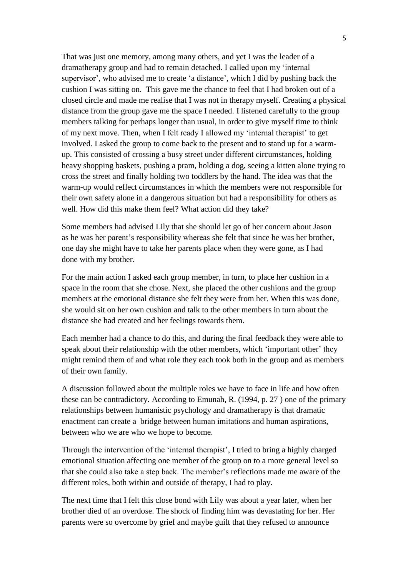That was just one memory, among many others, and yet I was the leader of a dramatherapy group and had to remain detached. I called upon my 'internal supervisor', who advised me to create 'a distance', which I did by pushing back the cushion I was sitting on. This gave me the chance to feel that I had broken out of a closed circle and made me realise that I was not in therapy myself. Creating a physical distance from the group gave me the space I needed. I listened carefully to the group members talking for perhaps longer than usual, in order to give myself time to think of my next move. Then, when I felt ready I allowed my 'internal therapist' to get involved. I asked the group to come back to the present and to stand up for a warmup. This consisted of crossing a busy street under different circumstances, holding heavy shopping baskets, pushing a pram, holding a dog, seeing a kitten alone trying to cross the street and finally holding two toddlers by the hand. The idea was that the warm-up would reflect circumstances in which the members were not responsible for their own safety alone in a dangerous situation but had a responsibility for others as well. How did this make them feel? What action did they take?

Some members had advised Lily that she should let go of her concern about Jason as he was her parent's responsibility whereas she felt that since he was her brother, one day she might have to take her parents place when they were gone, as I had done with my brother.

For the main action I asked each group member, in turn, to place her cushion in a space in the room that she chose. Next, she placed the other cushions and the group members at the emotional distance she felt they were from her. When this was done, she would sit on her own cushion and talk to the other members in turn about the distance she had created and her feelings towards them.

Each member had a chance to do this, and during the final feedback they were able to speak about their relationship with the other members, which 'important other' they might remind them of and what role they each took both in the group and as members of their own family.

A discussion followed about the multiple roles we have to face in life and how often these can be contradictory. According to Emunah, R. (1994, p. 27 ) one of the primary relationships between humanistic psychology and dramatherapy is that dramatic enactment can create a bridge between human imitations and human aspirations, between who we are who we hope to become.

Through the intervention of the 'internal therapist', I tried to bring a highly charged emotional situation affecting one member of the group on to a more general level so that she could also take a step back. The member's reflections made me aware of the different roles, both within and outside of therapy, I had to play.

The next time that I felt this close bond with Lily was about a year later, when her brother died of an overdose. The shock of finding him was devastating for her. Her parents were so overcome by grief and maybe guilt that they refused to announce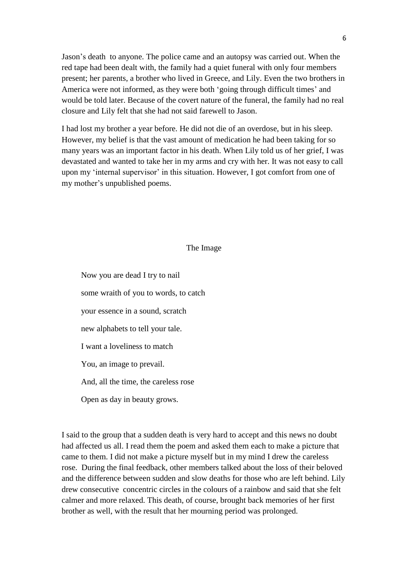Jason's death to anyone. The police came and an autopsy was carried out. When the red tape had been dealt with, the family had a quiet funeral with only four members present; her parents, a brother who lived in Greece, and Lily. Even the two brothers in America were not informed, as they were both 'going through difficult times' and would be told later. Because of the covert nature of the funeral, the family had no real closure and Lily felt that she had not said farewell to Jason.

I had lost my brother a year before. He did not die of an overdose, but in his sleep. However, my belief is that the vast amount of medication he had been taking for so many years was an important factor in his death. When Lily told us of her grief, I was devastated and wanted to take her in my arms and cry with her. It was not easy to call upon my 'internal supervisor' in this situation. However, I got comfort from one of my mother's unpublished poems.

#### The Image

Now you are dead I try to nail some wraith of you to words, to catch your essence in a sound, scratch new alphabets to tell your tale. I want a loveliness to match You, an image to prevail. And, all the time, the careless rose Open as day in beauty grows.

I said to the group that a sudden death is very hard to accept and this news no doubt had affected us all. I read them the poem and asked them each to make a picture that came to them. I did not make a picture myself but in my mind I drew the careless rose. During the final feedback, other members talked about the loss of their beloved and the difference between sudden and slow deaths for those who are left behind. Lily drew consecutive concentric circles in the colours of a rainbow and said that she felt calmer and more relaxed. This death, of course, brought back memories of her first brother as well, with the result that her mourning period was prolonged.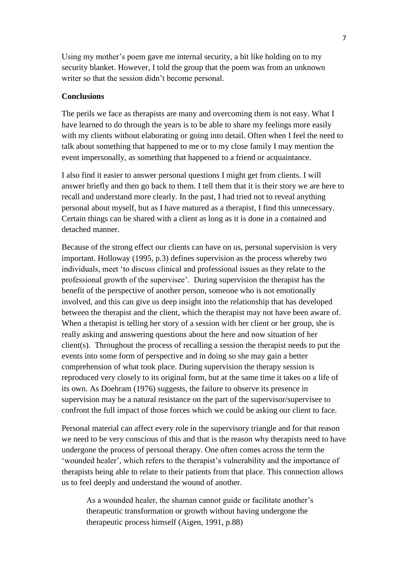Using my mother's poem gave me internal security, a bit like holding on to my security blanket. However, I told the group that the poem was from an unknown writer so that the session didn't become personal.

## **Conclusions**

The perils we face as therapists are many and overcoming them is not easy. What I have learned to do through the years is to be able to share my feelings more easily with my clients without elaborating or going into detail. Often when I feel the need to talk about something that happened to me or to my close family I may mention the event impersonally, as something that happened to a friend or acquaintance.

I also find it easier to answer personal questions I might get from clients. I will answer briefly and then go back to them. I tell them that it is their story we are here to recall and understand more clearly. In the past, I had tried not to reveal anything personal about myself, but as I have matured as a therapist, I find this unnecessary. Certain things can be shared with a client as long as it is done in a contained and detached manner.

Because of the strong effect our clients can have on us, personal supervision is very important. Holloway (1995, p.3) defines supervision as the process whereby two individuals, meet 'to discuss clinical and professional issues as they relate to the professional growth of the supervisee'. During supervision the therapist has the benefit of the perspective of another person, someone who is not emotionally involved, and this can give us deep insight into the relationship that has developed between the therapist and the client, which the therapist may not have been aware of. When a therapist is telling her story of a session with her client or her group, she is really asking and answering questions about the here and now situation of her client(s). Throughout the process of recalling a session the therapist needs to put the events into some form of perspective and in doing so she may gain a better comprehension of what took place. During supervision the therapy session is reproduced very closely to its original form, but at the same time it takes on a life of its own. As Doehram (1976) suggests, the failure to observe its presence in supervision may be a natural resistance on the part of the supervisor/supervisee to confront the full impact of those forces which we could be asking our client to face.

Personal material can affect every role in the supervisory triangle and for that reason we need to be very conscious of this and that is the reason why therapists need to have undergone the process of personal therapy. One often comes across the term the 'wounded healer', which refers to the therapist's vulnerability and the importance of therapists being able to relate to their patients from that place. This connection allows us to feel deeply and understand the wound of another.

As a wounded healer, the shaman cannot guide or facilitate another's therapeutic transformation or growth without having undergone the therapeutic process himself (Aigen, 1991, p.88)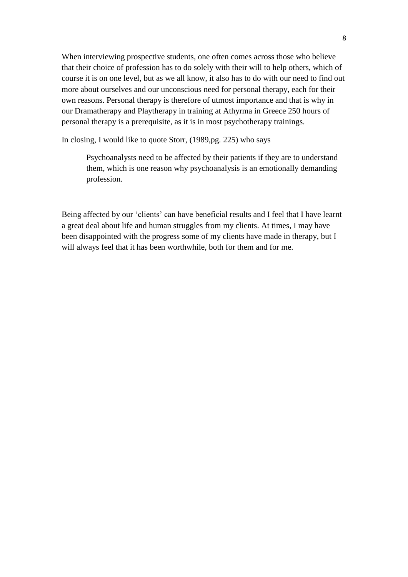When interviewing prospective students, one often comes across those who believe that their choice of profession has to do solely with their will to help others, which of course it is on one level, but as we all know, it also has to do with our need to find out more about ourselves and our unconscious need for personal therapy, each for their own reasons. Personal therapy is therefore of utmost importance and that is why in our Dramatherapy and Playtherapy in training at Athyrma in Greece 250 hours of personal therapy is a prerequisite, as it is in most psychotherapy trainings.

In closing, I would like to quote Storr, (1989,pg. 225) who says

Psychoanalysts need to be affected by their patients if they are to understand them, which is one reason why psychoanalysis is an emotionally demanding profession.

Being affected by our 'clients' can have beneficial results and I feel that I have learnt a great deal about life and human struggles from my clients. At times, I may have been disappointed with the progress some of my clients have made in therapy, but I will always feel that it has been worthwhile, both for them and for me.